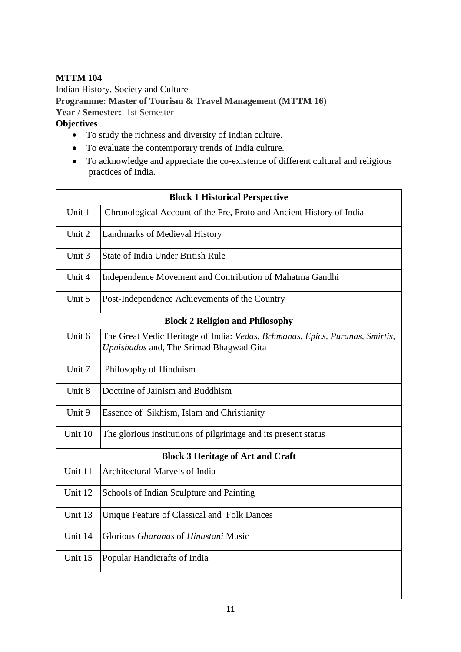## **MTTM 104**

Indian History, Society and Culture **Programme: Master of Tourism & Travel Management (MTTM 16) Year / Semester:** 1st Semester **Objectives** 

- To study the richness and diversity of Indian culture.
- To evaluate the contemporary trends of India culture.
- To acknowledge and appreciate the co-existence of different cultural and religious practices of India.

| <b>Block 1 Historical Perspective</b>    |                                                                                                                         |  |
|------------------------------------------|-------------------------------------------------------------------------------------------------------------------------|--|
| Unit 1                                   | Chronological Account of the Pre, Proto and Ancient History of India                                                    |  |
| Unit 2                                   | Landmarks of Medieval History                                                                                           |  |
| Unit 3                                   | <b>State of India Under British Rule</b>                                                                                |  |
| Unit 4                                   | Independence Movement and Contribution of Mahatma Gandhi                                                                |  |
| Unit 5                                   | Post-Independence Achievements of the Country                                                                           |  |
| <b>Block 2 Religion and Philosophy</b>   |                                                                                                                         |  |
| Unit 6                                   | The Great Vedic Heritage of India: Vedas, Brhmanas, Epics, Puranas, Smirtis,<br>Upnishadas and, The Srimad Bhagwad Gita |  |
| Unit 7                                   | Philosophy of Hinduism                                                                                                  |  |
| Unit 8                                   | Doctrine of Jainism and Buddhism                                                                                        |  |
| Unit 9                                   | Essence of Sikhism, Islam and Christianity                                                                              |  |
| Unit 10                                  | The glorious institutions of pilgrimage and its present status                                                          |  |
| <b>Block 3 Heritage of Art and Craft</b> |                                                                                                                         |  |
| Unit 11                                  | Architectural Marvels of India                                                                                          |  |
| Unit 12                                  | Schools of Indian Sculpture and Painting                                                                                |  |
| Unit 13                                  | Unique Feature of Classical and Folk Dances                                                                             |  |
| Unit 14                                  | Glorious Gharanas of Hinustani Music                                                                                    |  |
| Unit 15                                  | Popular Handicrafts of India                                                                                            |  |
|                                          |                                                                                                                         |  |